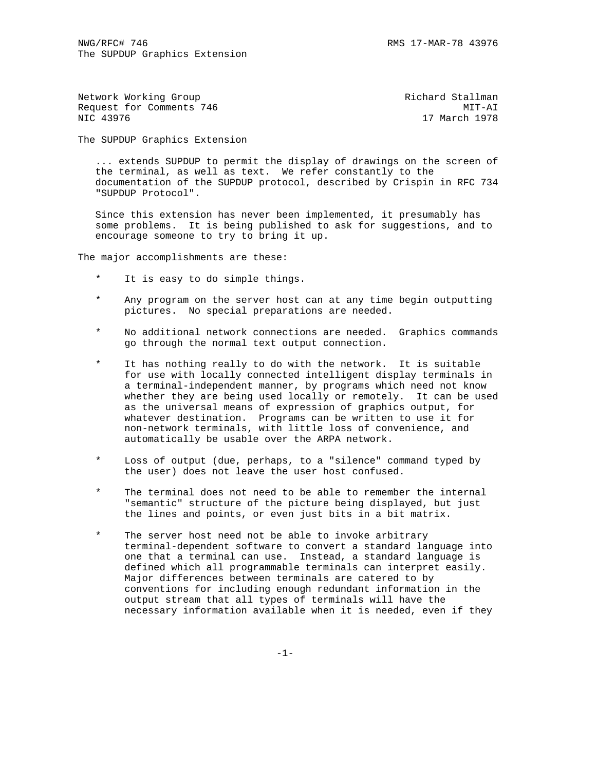| Network Working Group    | Richard Stallman |
|--------------------------|------------------|
| Request for Comments 746 | MIT-AI           |
| NIC 43976                | 17 March 1978    |
|                          |                  |

The SUPDUP Graphics Extension

 ... extends SUPDUP to permit the display of drawings on the screen of the terminal, as well as text. We refer constantly to the documentation of the SUPDUP protocol, described by Crispin in RFC 734 "SUPDUP Protocol".

 Since this extension has never been implemented, it presumably has some problems. It is being published to ask for suggestions, and to encourage someone to try to bring it up.

The major accomplishments are these:

- It is easy to do simple things.
- \* Any program on the server host can at any time begin outputting pictures. No special preparations are needed.
- No additional network connections are needed. Graphics commands go through the normal text output connection.
- It has nothing really to do with the network. It is suitable for use with locally connected intelligent display terminals in a terminal-independent manner, by programs which need not know whether they are being used locally or remotely. It can be used as the universal means of expression of graphics output, for whatever destination. Programs can be written to use it for non-network terminals, with little loss of convenience, and automatically be usable over the ARPA network.
- Loss of output (due, perhaps, to a "silence" command typed by the user) does not leave the user host confused.
- The terminal does not need to be able to remember the internal "semantic" structure of the picture being displayed, but just the lines and points, or even just bits in a bit matrix.
- \* The server host need not be able to invoke arbitrary terminal-dependent software to convert a standard language into one that a terminal can use. Instead, a standard language is defined which all programmable terminals can interpret easily. Major differences between terminals are catered to by conventions for including enough redundant information in the output stream that all types of terminals will have the necessary information available when it is needed, even if they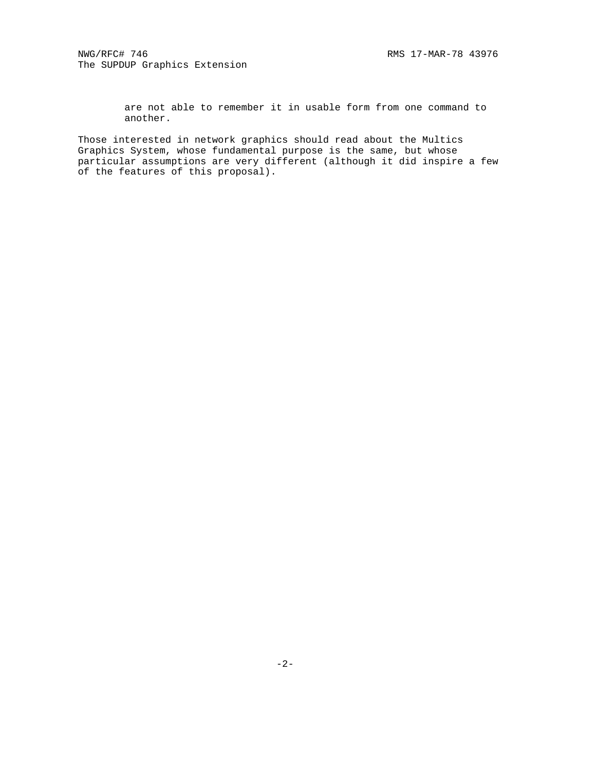are not able to remember it in usable form from one command to another.

Those interested in network graphics should read about the Multics Graphics System, whose fundamental purpose is the same, but whose particular assumptions are very different (although it did inspire a few of the features of this proposal).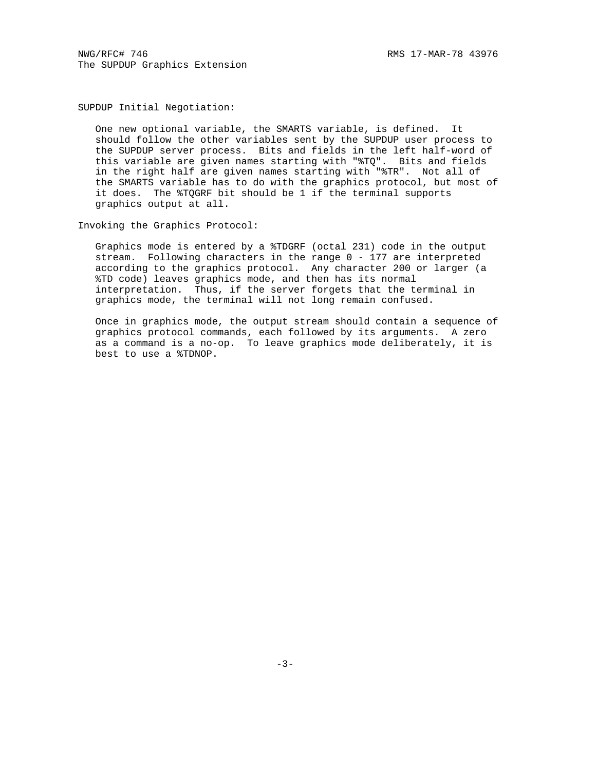NWG/RFC# 746 RMS 17-MAR-78 43976 The SUPDUP Graphics Extension

SUPDUP Initial Negotiation:

 One new optional variable, the SMARTS variable, is defined. It should follow the other variables sent by the SUPDUP user process to the SUPDUP server process. Bits and fields in the left half-word of this variable are given names starting with "%TQ". Bits and fields in the right half are given names starting with "%TR". Not all of the SMARTS variable has to do with the graphics protocol, but most of it does. The %TQGRF bit should be 1 if the terminal supports graphics output at all.

Invoking the Graphics Protocol:

 Graphics mode is entered by a %TDGRF (octal 231) code in the output stream. Following characters in the range 0 - 177 are interpreted according to the graphics protocol. Any character 200 or larger (a %TD code) leaves graphics mode, and then has its normal interpretation. Thus, if the server forgets that the terminal in graphics mode, the terminal will not long remain confused.

 Once in graphics mode, the output stream should contain a sequence of graphics protocol commands, each followed by its arguments. A zero as a command is a no-op. To leave graphics mode deliberately, it is best to use a %TDNOP.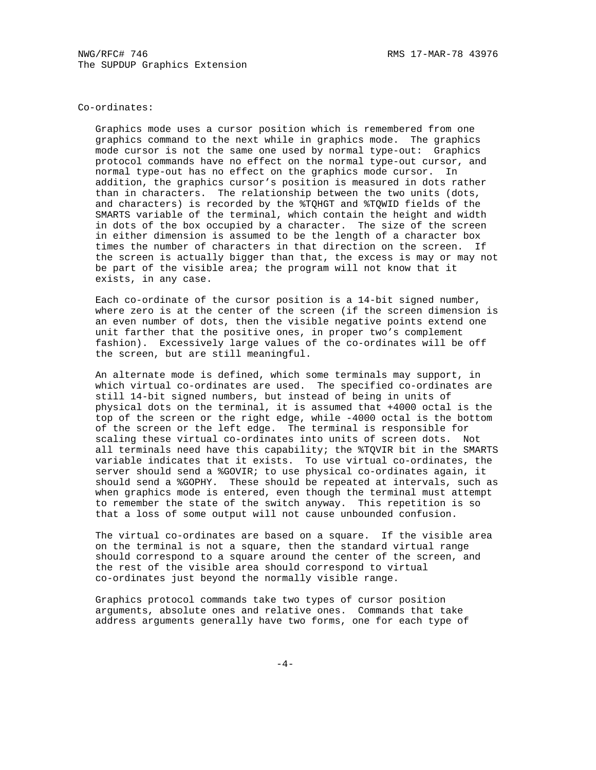### Co-ordinates:

 Graphics mode uses a cursor position which is remembered from one graphics command to the next while in graphics mode. The graphics mode cursor is not the same one used by normal type-out: Graphics protocol commands have no effect on the normal type-out cursor, and normal type-out has no effect on the graphics mode cursor. In addition, the graphics cursor's position is measured in dots rather than in characters. The relationship between the two units (dots, and characters) is recorded by the %TQHGT and %TQWID fields of the SMARTS variable of the terminal, which contain the height and width in dots of the box occupied by a character. The size of the screen in either dimension is assumed to be the length of a character box times the number of characters in that direction on the screen. If the screen is actually bigger than that, the excess is may or may not be part of the visible area; the program will not know that it exists, in any case.

 Each co-ordinate of the cursor position is a 14-bit signed number, where zero is at the center of the screen (if the screen dimension is an even number of dots, then the visible negative points extend one unit farther that the positive ones, in proper two's complement fashion). Excessively large values of the co-ordinates will be off the screen, but are still meaningful.

 An alternate mode is defined, which some terminals may support, in which virtual co-ordinates are used. The specified co-ordinates are still 14-bit signed numbers, but instead of being in units of physical dots on the terminal, it is assumed that +4000 octal is the top of the screen or the right edge, while -4000 octal is the bottom of the screen or the left edge. The terminal is responsible for scaling these virtual co-ordinates into units of screen dots. Not all terminals need have this capability; the %TQVIR bit in the SMARTS variable indicates that it exists. To use virtual co-ordinates, the server should send a %GOVIR; to use physical co-ordinates again, it should send a %GOPHY. These should be repeated at intervals, such as when graphics mode is entered, even though the terminal must attempt to remember the state of the switch anyway. This repetition is so that a loss of some output will not cause unbounded confusion.

 The virtual co-ordinates are based on a square. If the visible area on the terminal is not a square, then the standard virtual range should correspond to a square around the center of the screen, and the rest of the visible area should correspond to virtual co-ordinates just beyond the normally visible range.

 Graphics protocol commands take two types of cursor position arguments, absolute ones and relative ones. Commands that take address arguments generally have two forms, one for each type of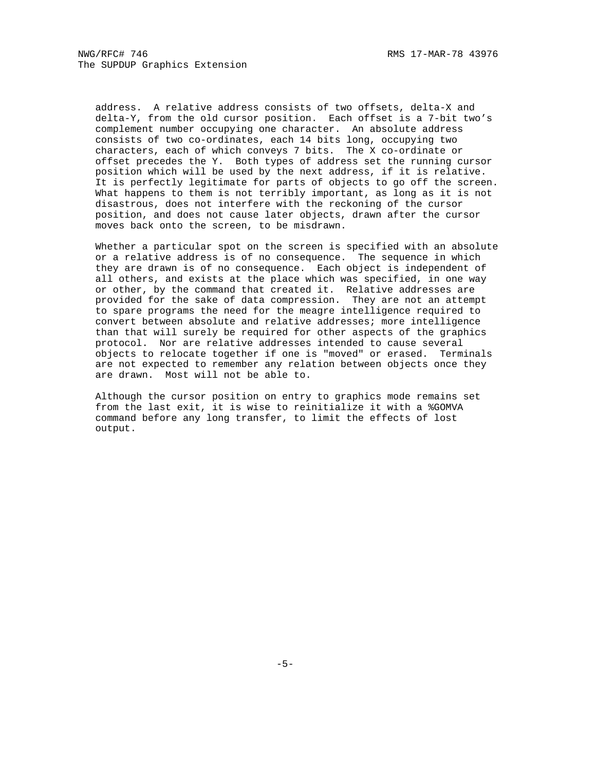address. A relative address consists of two offsets, delta-X and delta-Y, from the old cursor position. Each offset is a 7-bit two's complement number occupying one character. An absolute address consists of two co-ordinates, each 14 bits long, occupying two characters, each of which conveys 7 bits. The X co-ordinate or offset precedes the Y. Both types of address set the running cursor position which will be used by the next address, if it is relative. It is perfectly legitimate for parts of objects to go off the screen. What happens to them is not terribly important, as long as it is not disastrous, does not interfere with the reckoning of the cursor position, and does not cause later objects, drawn after the cursor moves back onto the screen, to be misdrawn.

 Whether a particular spot on the screen is specified with an absolute or a relative address is of no consequence. The sequence in which they are drawn is of no consequence. Each object is independent of all others, and exists at the place which was specified, in one way or other, by the command that created it. Relative addresses are provided for the sake of data compression. They are not an attempt to spare programs the need for the meagre intelligence required to convert between absolute and relative addresses; more intelligence than that will surely be required for other aspects of the graphics protocol. Nor are relative addresses intended to cause several objects to relocate together if one is "moved" or erased. Terminals are not expected to remember any relation between objects once they are drawn. Most will not be able to.

 Although the cursor position on entry to graphics mode remains set from the last exit, it is wise to reinitialize it with a %GOMVA command before any long transfer, to limit the effects of lost output.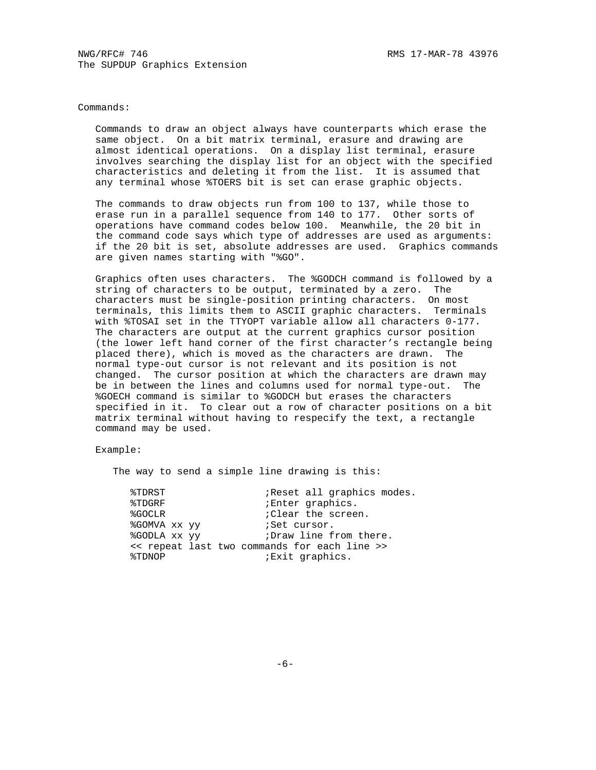Commands:

 Commands to draw an object always have counterparts which erase the same object. On a bit matrix terminal, erasure and drawing are almost identical operations. On a display list terminal, erasure involves searching the display list for an object with the specified characteristics and deleting it from the list. It is assumed that any terminal whose %TOERS bit is set can erase graphic objects.

 The commands to draw objects run from 100 to 137, while those to erase run in a parallel sequence from 140 to 177. Other sorts of operations have command codes below 100. Meanwhile, the 20 bit in the command code says which type of addresses are used as arguments: if the 20 bit is set, absolute addresses are used. Graphics commands are given names starting with "%GO".

 Graphics often uses characters. The %GODCH command is followed by a string of characters to be output, terminated by a zero. The characters must be single-position printing characters. On most terminals, this limits them to ASCII graphic characters. Terminals with %TOSAI set in the TTYOPT variable allow all characters 0-177. The characters are output at the current graphics cursor position (the lower left hand corner of the first character's rectangle being placed there), which is moved as the characters are drawn. The normal type-out cursor is not relevant and its position is not changed. The cursor position at which the characters are drawn may be in between the lines and columns used for normal type-out. The %GOECH command is similar to %GODCH but erases the characters specified in it. To clear out a row of character positions on a bit matrix terminal without having to respecify the text, a rectangle command may be used.

Example:

The way to send a simple line drawing is this:

| %TDRST       | ; Reset all graphics modes.                  |
|--------------|----------------------------------------------|
| %TDGRF       | ;Enter graphics.                             |
| %GOCLR       | : Clear the screen.                          |
| %GOMVA xx yy | <i>i</i> Set cursor.                         |
| %GODLA XX VV | Draw line from there.                        |
|              | << repeat last two commands for each line >> |
| %TDNOP       | <i>Exit</i> graphics.                        |
|              |                                              |

 $-6-$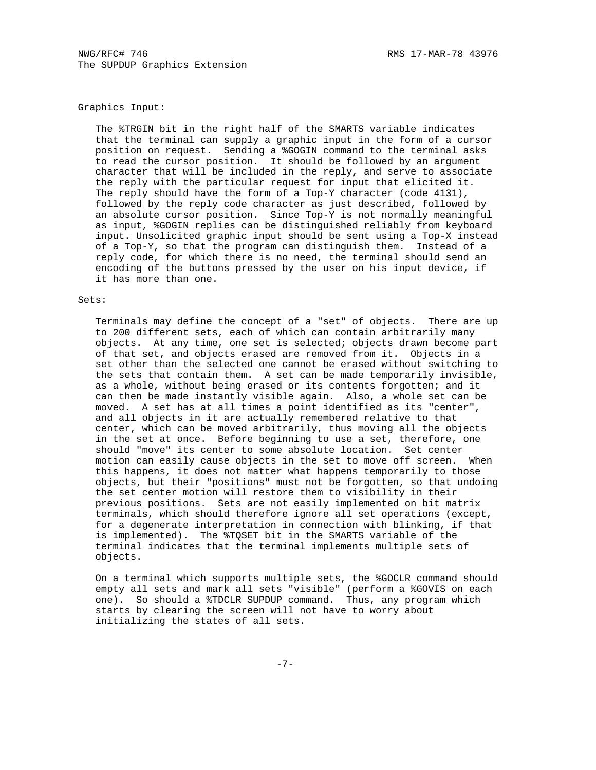# Graphics Input:

 The %TRGIN bit in the right half of the SMARTS variable indicates that the terminal can supply a graphic input in the form of a cursor position on request. Sending a %GOGIN command to the terminal asks to read the cursor position. It should be followed by an argument character that will be included in the reply, and serve to associate the reply with the particular request for input that elicited it. The reply should have the form of a Top-Y character (code 4131), followed by the reply code character as just described, followed by an absolute cursor position. Since Top-Y is not normally meaningful as input, %GOGIN replies can be distinguished reliably from keyboard input. Unsolicited graphic input should be sent using a Top-X instead of a Top-Y, so that the program can distinguish them. Instead of a reply code, for which there is no need, the terminal should send an encoding of the buttons pressed by the user on his input device, if it has more than one.

## Sets:

 Terminals may define the concept of a "set" of objects. There are up to 200 different sets, each of which can contain arbitrarily many objects. At any time, one set is selected; objects drawn become part of that set, and objects erased are removed from it. Objects in a set other than the selected one cannot be erased without switching to the sets that contain them. A set can be made temporarily invisible, as a whole, without being erased or its contents forgotten; and it can then be made instantly visible again. Also, a whole set can be moved. A set has at all times a point identified as its "center", and all objects in it are actually remembered relative to that center, which can be moved arbitrarily, thus moving all the objects in the set at once. Before beginning to use a set, therefore, one should "move" its center to some absolute location. Set center motion can easily cause objects in the set to move off screen. When this happens, it does not matter what happens temporarily to those objects, but their "positions" must not be forgotten, so that undoing the set center motion will restore them to visibility in their previous positions. Sets are not easily implemented on bit matrix terminals, which should therefore ignore all set operations (except, for a degenerate interpretation in connection with blinking, if that is implemented). The %TQSET bit in the SMARTS variable of the terminal indicates that the terminal implements multiple sets of objects.

 On a terminal which supports multiple sets, the %GOCLR command should empty all sets and mark all sets "visible" (perform a %GOVIS on each one). So should a %TDCLR SUPDUP command. Thus, any program which starts by clearing the screen will not have to worry about initializing the states of all sets.

-7-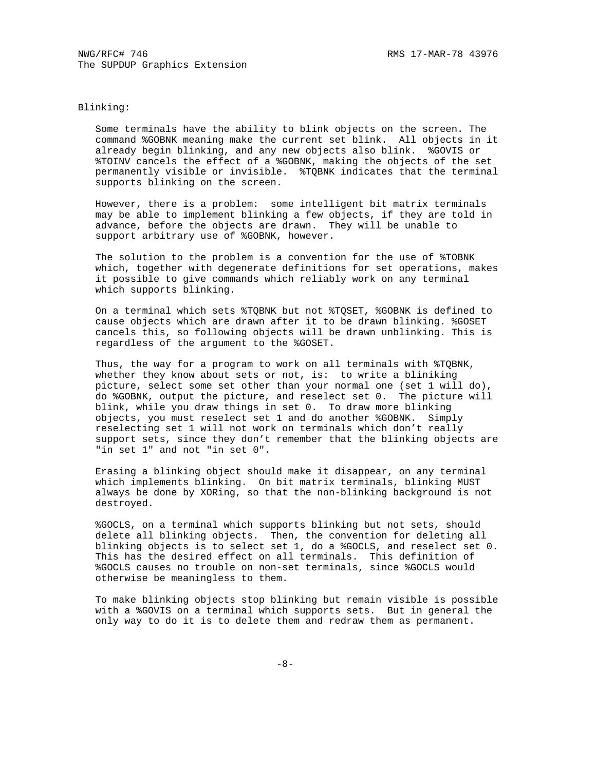#### Blinking:

 Some terminals have the ability to blink objects on the screen. The command %GOBNK meaning make the current set blink. All objects in it already begin blinking, and any new objects also blink. %GOVIS or %TOINV cancels the effect of a %GOBNK, making the objects of the set permanently visible or invisible. %TQBNK indicates that the terminal supports blinking on the screen.

 However, there is a problem: some intelligent bit matrix terminals may be able to implement blinking a few objects, if they are told in advance, before the objects are drawn. They will be unable to support arbitrary use of %GOBNK, however.

 The solution to the problem is a convention for the use of %TOBNK which, together with degenerate definitions for set operations, makes it possible to give commands which reliably work on any terminal which supports blinking.

 On a terminal which sets %TQBNK but not %TQSET, %GOBNK is defined to cause objects which are drawn after it to be drawn blinking. %GOSET cancels this, so following objects will be drawn unblinking. This is regardless of the argument to the %GOSET.

 Thus, the way for a program to work on all terminals with %TQBNK, whether they know about sets or not, is: to write a bliniking picture, select some set other than your normal one (set 1 will do), do %GOBNK, output the picture, and reselect set 0. The picture will blink, while you draw things in set 0. To draw more blinking objects, you must reselect set 1 and do another %GOBNK. Simply reselecting set 1 will not work on terminals which don't really support sets, since they don't remember that the blinking objects are "in set 1" and not "in set 0".

 Erasing a blinking object should make it disappear, on any terminal which implements blinking. On bit matrix terminals, blinking MUST always be done by XORing, so that the non-blinking background is not destroyed.

 %GOCLS, on a terminal which supports blinking but not sets, should delete all blinking objects. Then, the convention for deleting all blinking objects is to select set 1, do a %GOCLS, and reselect set 0. This has the desired effect on all terminals. This definition of %GOCLS causes no trouble on non-set terminals, since %GOCLS would otherwise be meaningless to them.

 To make blinking objects stop blinking but remain visible is possible with a %GOVIS on a terminal which supports sets. But in general the only way to do it is to delete them and redraw them as permanent.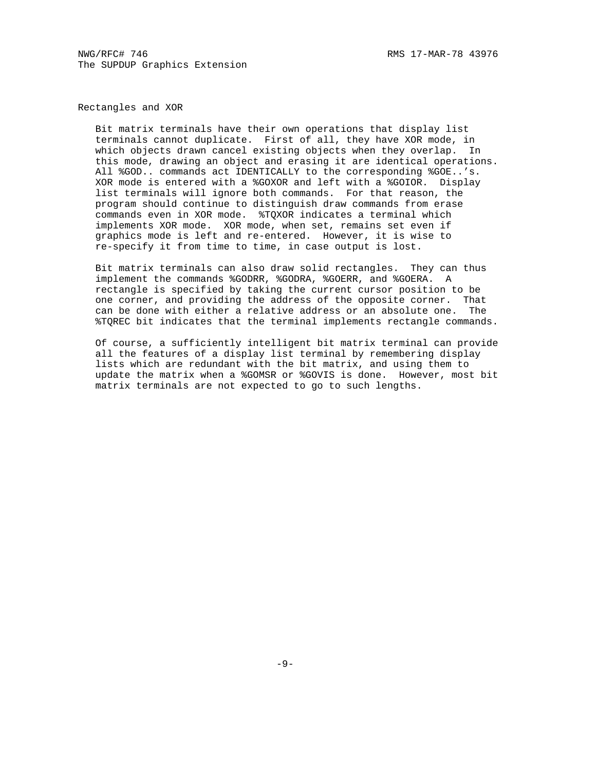NWG/RFC# 746 RMS 17-MAR-78 43976 The SUPDUP Graphics Extension

Rectangles and XOR

 Bit matrix terminals have their own operations that display list terminals cannot duplicate. First of all, they have XOR mode, in which objects drawn cancel existing objects when they overlap. In this mode, drawing an object and erasing it are identical operations. All %GOD.. commands act IDENTICALLY to the corresponding %GOE..'s. XOR mode is entered with a %GOXOR and left with a %GOIOR. Display list terminals will ignore both commands. For that reason, the program should continue to distinguish draw commands from erase commands even in XOR mode. %TQXOR indicates a terminal which implements XOR mode. XOR mode, when set, remains set even if graphics mode is left and re-entered. However, it is wise to re-specify it from time to time, in case output is lost.

 Bit matrix terminals can also draw solid rectangles. They can thus implement the commands %GODRR, %GODRA, %GOERR, and %GOERA. A rectangle is specified by taking the current cursor position to be one corner, and providing the address of the opposite corner. That can be done with either a relative address or an absolute one. The %TQREC bit indicates that the terminal implements rectangle commands.

 Of course, a sufficiently intelligent bit matrix terminal can provide all the features of a display list terminal by remembering display lists which are redundant with the bit matrix, and using them to update the matrix when a %GOMSR or %GOVIS is done. However, most bit matrix terminals are not expected to go to such lengths.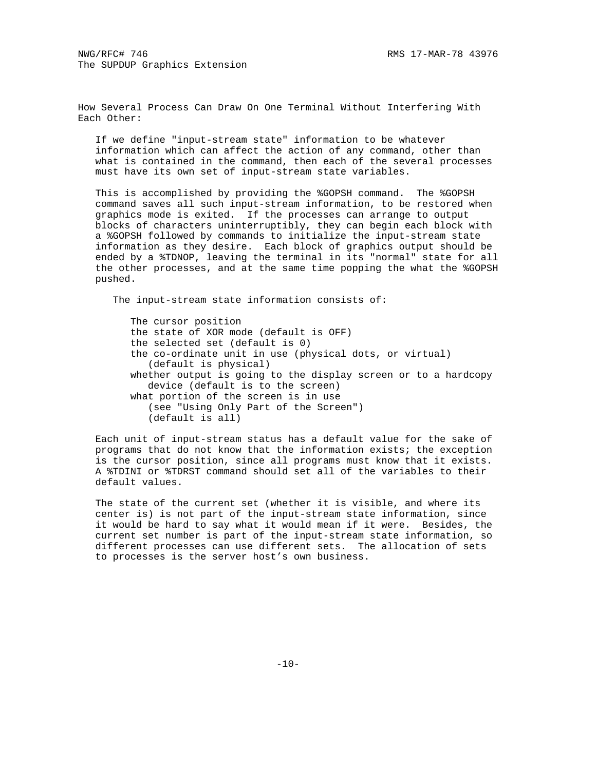How Several Process Can Draw On One Terminal Without Interfering With Each Other:

 If we define "input-stream state" information to be whatever information which can affect the action of any command, other than what is contained in the command, then each of the several processes must have its own set of input-stream state variables.

 This is accomplished by providing the %GOPSH command. The %GOPSH command saves all such input-stream information, to be restored when graphics mode is exited. If the processes can arrange to output blocks of characters uninterruptibly, they can begin each block with a %GOPSH followed by commands to initialize the input-stream state information as they desire. Each block of graphics output should be ended by a %TDNOP, leaving the terminal in its "normal" state for all the other processes, and at the same time popping the what the %GOPSH pushed.

The input-stream state information consists of:

 The cursor position the state of XOR mode (default is OFF) the selected set (default is 0) the co-ordinate unit in use (physical dots, or virtual) (default is physical) whether output is going to the display screen or to a hardcopy device (default is to the screen) what portion of the screen is in use (see "Using Only Part of the Screen") (default is all)

 Each unit of input-stream status has a default value for the sake of programs that do not know that the information exists; the exception is the cursor position, since all programs must know that it exists. A %TDINI or %TDRST command should set all of the variables to their default values.

 The state of the current set (whether it is visible, and where its center is) is not part of the input-stream state information, since it would be hard to say what it would mean if it were. Besides, the current set number is part of the input-stream state information, so different processes can use different sets. The allocation of sets to processes is the server host's own business.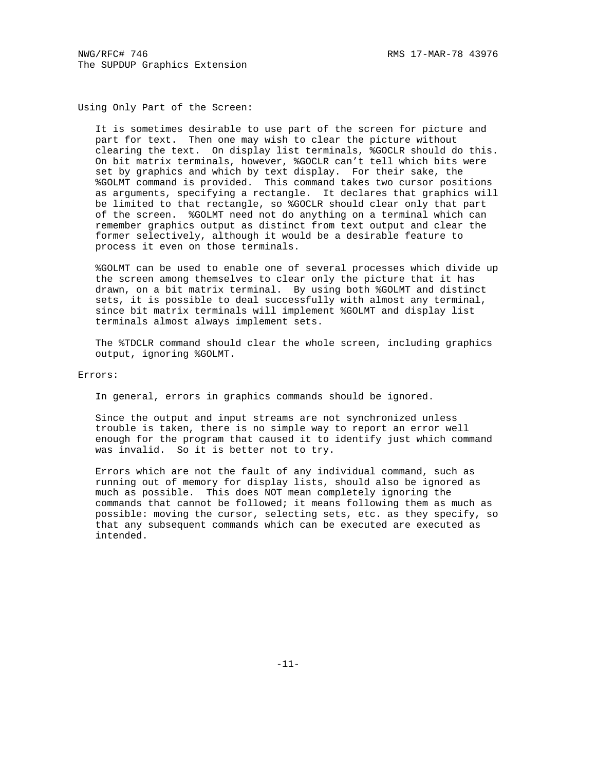Using Only Part of the Screen:

 It is sometimes desirable to use part of the screen for picture and part for text. Then one may wish to clear the picture without clearing the text. On display list terminals, %GOCLR should do this. On bit matrix terminals, however, %GOCLR can't tell which bits were set by graphics and which by text display. For their sake, the %GOLMT command is provided. This command takes two cursor positions as arguments, specifying a rectangle. It declares that graphics will be limited to that rectangle, so %GOCLR should clear only that part of the screen. %GOLMT need not do anything on a terminal which can remember graphics output as distinct from text output and clear the former selectively, although it would be a desirable feature to process it even on those terminals.

 %GOLMT can be used to enable one of several processes which divide up the screen among themselves to clear only the picture that it has drawn, on a bit matrix terminal. By using both %GOLMT and distinct sets, it is possible to deal successfully with almost any terminal, since bit matrix terminals will implement %GOLMT and display list terminals almost always implement sets.

 The %TDCLR command should clear the whole screen, including graphics output, ignoring %GOLMT.

Errors:

In general, errors in graphics commands should be ignored.

 Since the output and input streams are not synchronized unless trouble is taken, there is no simple way to report an error well enough for the program that caused it to identify just which command was invalid. So it is better not to try.

 Errors which are not the fault of any individual command, such as running out of memory for display lists, should also be ignored as much as possible. This does NOT mean completely ignoring the commands that cannot be followed; it means following them as much as possible: moving the cursor, selecting sets, etc. as they specify, so that any subsequent commands which can be executed are executed as intended.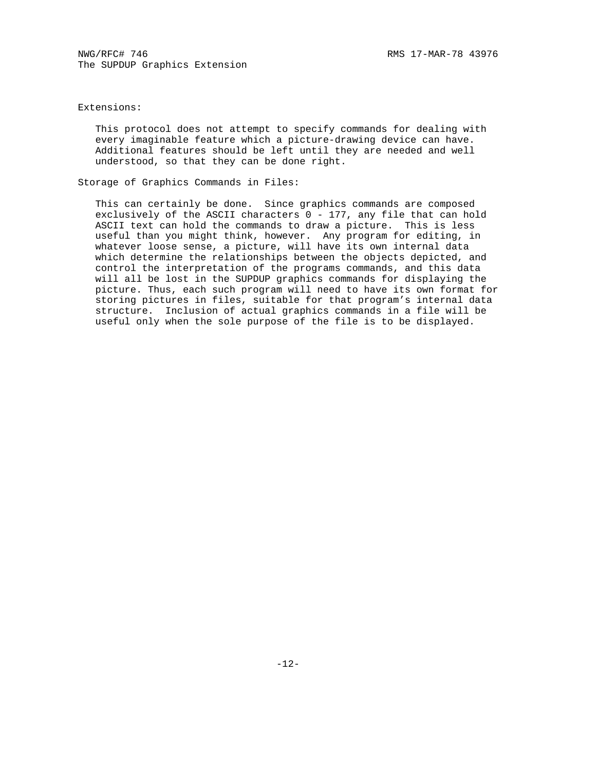# Extensions:

 This protocol does not attempt to specify commands for dealing with every imaginable feature which a picture-drawing device can have. Additional features should be left until they are needed and well understood, so that they can be done right.

Storage of Graphics Commands in Files:

 This can certainly be done. Since graphics commands are composed exclusively of the ASCII characters 0 - 177, any file that can hold ASCII text can hold the commands to draw a picture. This is less useful than you might think, however. Any program for editing, in whatever loose sense, a picture, will have its own internal data which determine the relationships between the objects depicted, and control the interpretation of the programs commands, and this data will all be lost in the SUPDUP graphics commands for displaying the picture. Thus, each such program will need to have its own format for storing pictures in files, suitable for that program's internal data structure. Inclusion of actual graphics commands in a file will be useful only when the sole purpose of the file is to be displayed.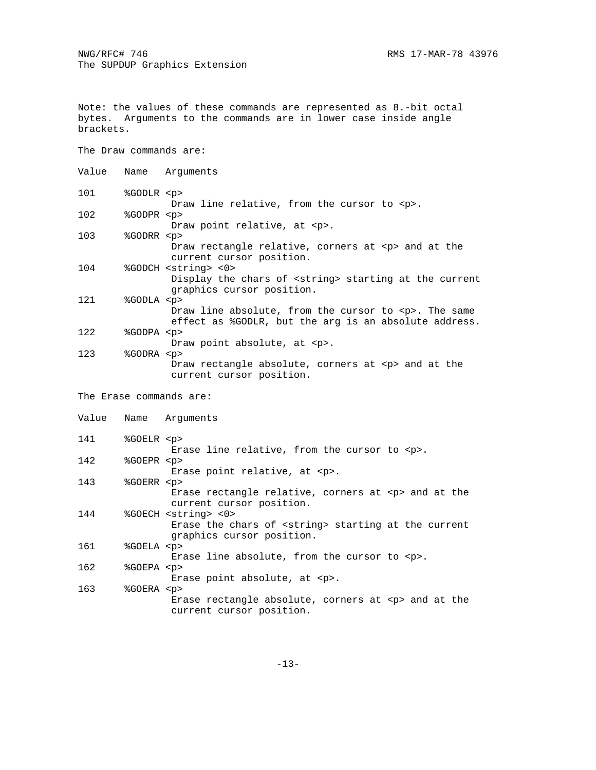Note: the values of these commands are represented as 8.-bit octal bytes. Arguments to the commands are in lower case inside angle brackets.

The Draw commands are:

| Value |                         | Name Arguments                                                                                                                      |
|-------|-------------------------|-------------------------------------------------------------------------------------------------------------------------------------|
| 101   | %GODLR <p></p>          | Draw line relative, from the cursor to <p>.</p>                                                                                     |
| 102   | %GODPR <p></p>          | Draw point relative, at <p>.</p>                                                                                                    |
| 103   | %GODRR <p></p>          | Draw rectangle relative, corners at <p> and at the<br/>current cursor position.</p>                                                 |
| 104   |                         | %GODCH <string> &lt;0&gt;<br/>Display the chars of <string> starting at the current<br/>graphics cursor position.</string></string> |
| 121   | %GODLA <p></p>          | Draw line absolute, from the cursor to $< p$ . The same<br>effect as \$GODLR, but the arg is an absolute address.                   |
| 122   | %GODPA <p></p>          | Draw point absolute, at <p>.</p>                                                                                                    |
| 123   | %GODRA <p></p>          | Draw rectangle absolute, corners at <p> and at the<br/>current cursor position.</p>                                                 |
|       | The Erase commands are: |                                                                                                                                     |

Value Name Arguments 141 %GOELR <p> Erase line relative, from the cursor to <p>. %GOEPR <p> Erase point relative, at <p>. 143 %GOERR <p> Erase rectangle relative, corners at <p> and at the current cursor position. %GOECH <string> <0> Erase the chars of <string> starting at the current graphics cursor position. 161 %GOELA <p> Erase line absolute, from the cursor to <p>. %GOEPA <p> Erase point absolute, at <p>. 163 %GOERA <p> Erase rectangle absolute, corners at <p> and at the current cursor position.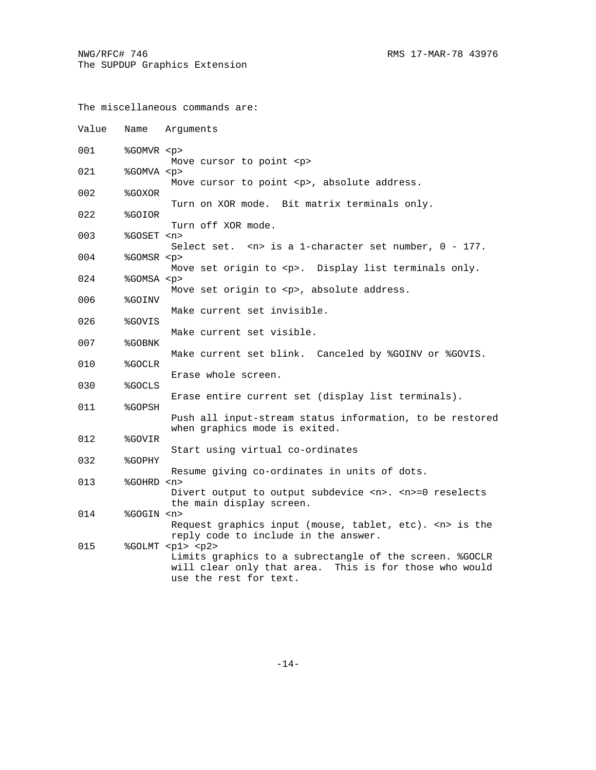The miscellaneous commands are: Value Name Arguments 001 %GOMVR <p> Move cursor to point <p> 021 %GOMVA <p> Move cursor to point <p>, absolute address.<br>  $0.02$  %GOXOR 002 %GOXOR Turn on XOR mode. Bit matrix terminals only. 022 %GOIOR Turn off XOR mode. 003 %GOSET <n> Select set. <n> is a 1-character set number, 0 - 177.<br>004 % SGOMSR <p> %GOMSR <p> Move set origin to <p>. Display list terminals only. 024 %GOMSA <p> Move set origin to <p>, absolute address. 006 %GOINV Make current set invisible. 026 %GOVIS Make current set visible. 007 %GOBNK Make current set blink. Canceled by %GOINV or %GOVIS. 010 %GOCLR Erase whole screen. 030 %GOCLS Erase entire current set (display list terminals). 011 %GOPSH Push all input-stream status information, to be restored when graphics mode is exited. 012 %GOVIR Start using virtual co-ordinates 032 %GOPHY Resume giving co-ordinates in units of dots. 013 %GOHRD <n> Divert output to output subdevice <n>. <n>=0 reselects the main display screen. 014 %GOGIN <n> Request graphics input (mouse, tablet, etc). <n> is the reply code to include in the answer. 015 %GOLMT <p1> <p2> Limits graphics to a subrectangle of the screen. %GOCLR will clear only that area. This is for those who would use the rest for text.